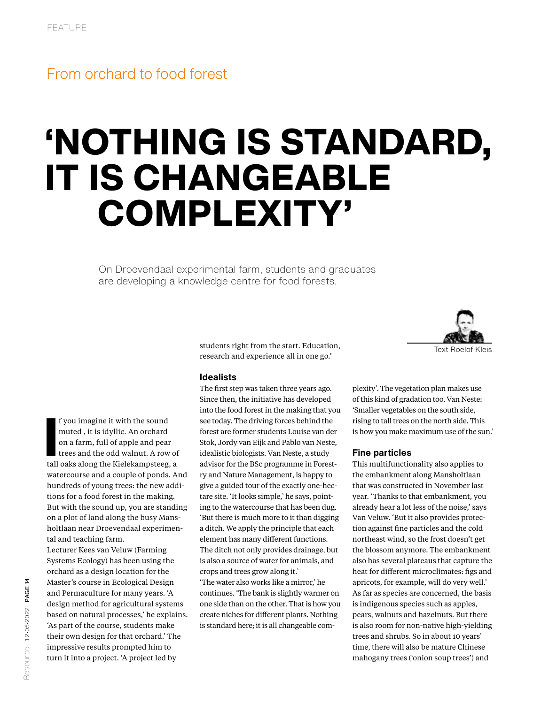## From orchard to food forest

# 'NOTHING IS STANDARD, IT IS CHANGEABLE COMPLEXITY'

On Droevendaal experimental farm, students and graduates are developing a knowledge centre for food forests.



students right from the start. Education, research and experience all in one go.'

#### **Idealists**

The first step was taken three years ago. Since then, the initiative has developed into the food forest in the making that you see today. The driving forces behind the forest are former students Louise van der Stok, Jordy van Eijk and Pablo van Neste, idealistic biologists. Van Neste, a study advisor for the BSc programme in Forestry and Nature Management, is happy to give a guided tour of the exactly one-hectare site. 'It looks simple,' he says, pointing to the watercourse that has been dug. 'But there is much more to it than digging a ditch. We apply the principle that each element has many different functions. The ditch not only provides drainage, but is also a source of water for animals, and crops and trees grow along it.' 'The water also works like a mirror,' he continues. 'The bank is slightly warmer on one side than on the other. That is how you create niches for different plants. Nothing

is standard here; it is all changeable com-

plexity'. The vegetation plan makes use of this kind of gradation too. Van Neste: 'Smaller vegetables on the south side, rising to tall trees on the north side. This is how you make maximum use of the sun.'

#### **Fine particles**

This multifunctionality also applies to the embankment along Mansholtlaan that was constructed in November last year. 'Thanks to that embankment, you already hear a lot less of the noise,' says Van Veluw. 'But it also provides protection against fine particles and the cold northeast wind, so the frost doesn't get the blossom anymore. The embankment also has several plateaus that capture the heat for different microclimates: figs and apricots, for example, will do very well.' As far as species are concerned, the basis is indigenous species such as apples, pears, walnuts and hazelnuts. But there is also room for non-native high-yielding trees and shrubs. So in about 10 years' time, there will also be mature Chinese mahogany trees ('onion soup trees') and

f you imagine it with the sound<br>muted , it is idyllic. An orchard<br>on a farm, full of apple and pear<br>trees and the odd walnut. A row of<br>tall oaks along the Kielekampsteeg, a f you imagine it with the sound muted , it is idyllic. An orchard on a farm, full of apple and pear trees and the odd walnut. A row of watercourse and a couple of ponds. And hundreds of young trees: the new additions for a food forest in the making. But with the sound up, you are standing on a plot of land along the busy Mansholtlaan near Droevendaal experimental and teaching farm.

Lecturer Kees van Veluw (Farming Systems Ecology) has been using the orchard as a design location for the Master's course in Ecological Design and Permaculture for many years. 'A design method for agricultural systems based on natural processes,' he explains. 'As part of the course, students make their own design for that orchard.' The impressive results prompted him to turn it into a project. 'A project led by